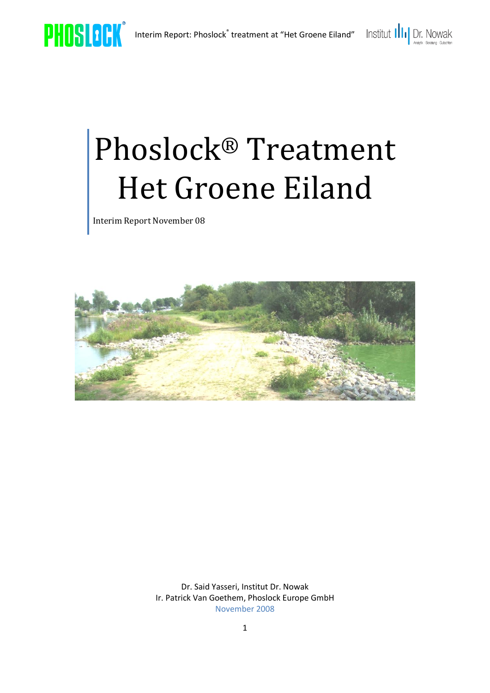

# Phoslock® Treatment Het Groene Eiland

Interim Report November 08



Dr. Said Yasseri, Institut Dr. Nowak Ir. Patrick Van Goethem, Phoslock Europe GmbH November 2008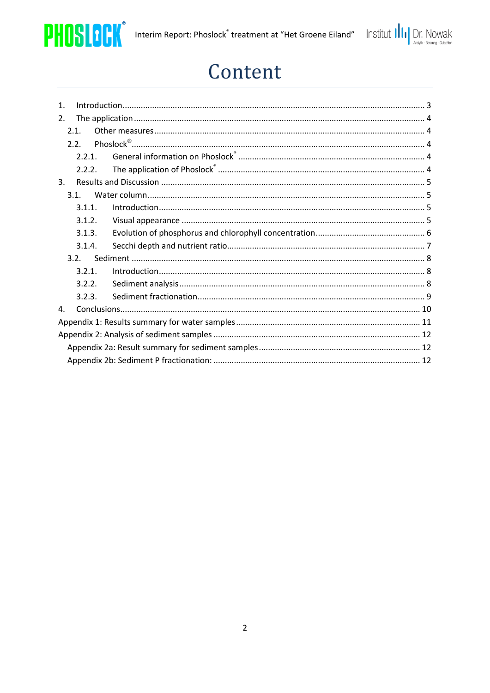



# Content

| $\mathbf{1}$ .   |        |  |  |  |  |
|------------------|--------|--|--|--|--|
| 2.               |        |  |  |  |  |
| 2.1              |        |  |  |  |  |
| 2.2 <sub>1</sub> |        |  |  |  |  |
|                  | 2.2.1. |  |  |  |  |
|                  | 2.2.2. |  |  |  |  |
| $\mathbf{3}$ .   |        |  |  |  |  |
| 3.1.             |        |  |  |  |  |
|                  | 3.1.1. |  |  |  |  |
|                  | 3.1.2. |  |  |  |  |
|                  | 3.1.3. |  |  |  |  |
|                  | 3.1.4. |  |  |  |  |
| 3.2.             |        |  |  |  |  |
|                  | 3.2.1. |  |  |  |  |
|                  | 3.2.2. |  |  |  |  |
|                  | 3.2.3. |  |  |  |  |
| 4.               |        |  |  |  |  |
|                  |        |  |  |  |  |
|                  |        |  |  |  |  |
|                  |        |  |  |  |  |
|                  |        |  |  |  |  |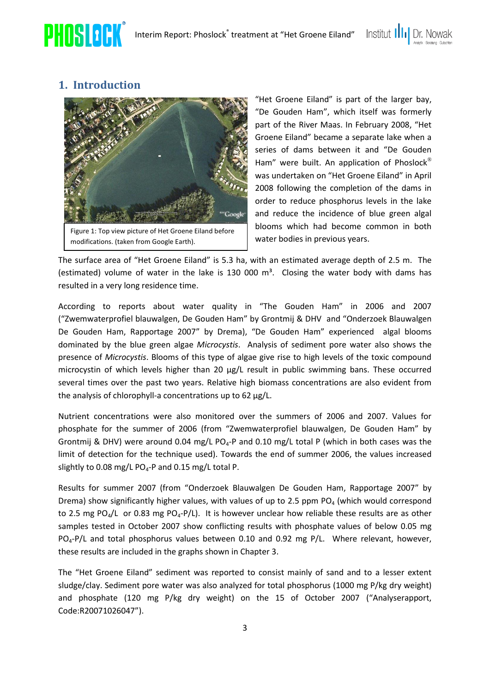

<span id="page-2-0"></span>



"Het Groene Eiland" is part of the larger bay, "De Gouden Ham", which itself was formerly part of the River Maas. In February 2008, "Het Groene Eiland" became a separate lake when a series of dams between it and "De Gouden Ham" were built. An application of Phoslock<sup>®</sup> was undertaken on "Het Groene Eiland" in April 2008 following the completion of the dams in order to reduce phosphorus levels in the lake and reduce the incidence of blue green algal blooms which had become common in both water bodies in previous years.

The surface area of "Het Groene Eiland" is 5.3 ha, with an estimated average depth of 2.5 m. The (estimated) volume of water in the lake is 130 000  $m^3$ . Closing the water body with dams has resulted in a very long residence time.

According to reports about water quality in "The Gouden Ham" in 2006 and 2007 ("Zwemwaterprofiel blauwalgen, De Gouden Ham" by Grontmij & DHV and "Onderzoek Blauwalgen De Gouden Ham, Rapportage 2007" by Drema), "De Gouden Ham" experienced algal blooms dominated by the blue green algae *Microcystis*. Analysis of sediment pore water also shows the presence of *Microcystis*. Blooms of this type of algae give rise to high levels of the toxic compound microcystin of which levels higher than 20 µg/L result in public swimming bans. These occurred several times over the past two years. Relative high biomass concentrations are also evident from the analysis of chlorophyll-a concentrations up to 62 µg/L.

Nutrient concentrations were also monitored over the summers of 2006 and 2007. Values for phosphate for the summer of 2006 (from "Zwemwaterprofiel blauwalgen, De Gouden Ham" by Grontmij & DHV) were around 0.04 mg/L PO<sub>4</sub>-P and 0.10 mg/L total P (which in both cases was the limit of detection for the technique used). Towards the end of summer 2006, the values increased slightly to 0.08 mg/L PO<sub>4</sub>-P and 0.15 mg/L total P.

Results for summer 2007 (from "Onderzoek Blauwalgen De Gouden Ham, Rapportage 2007" by Drema) show significantly higher values, with values of up to 2.5 ppm  $PQ_4$  (which would correspond to 2.5 mg PO<sub>4</sub>/L or 0.83 mg PO<sub>4</sub>-P/L). It is however unclear how reliable these results are as other samples tested in October 2007 show conflicting results with phosphate values of below 0.05 mg PO<sub>4</sub>-P/L and total phosphorus values between 0.10 and 0.92 mg P/L. Where relevant, however, these results are included in the graphs shown in Chapter [3.](#page-4-0)

The "Het Groene Eiland" sediment was reported to consist mainly of sand and to a lesser extent sludge/clay. Sediment pore water was also analyzed for total phosphorus (1000 mg P/kg dry weight) and phosphate (120 mg P/kg dry weight) on the 15 of October 2007 ("Analyserapport, Code:R20071026047").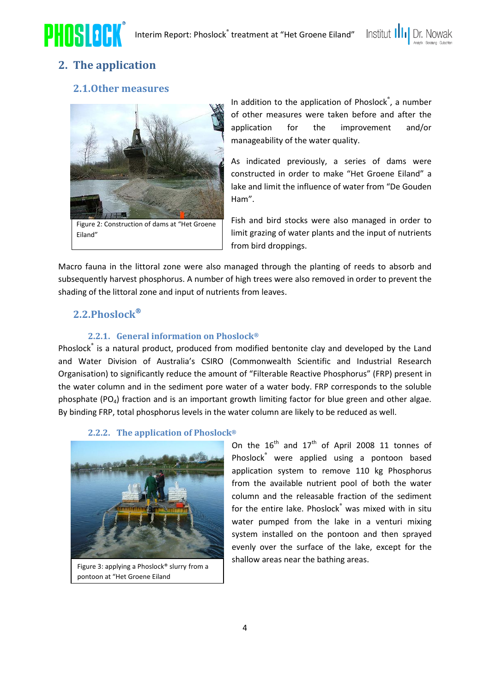

# <span id="page-3-1"></span><span id="page-3-0"></span>**2. The application**

#### **2.1.Other measures**



Eiland"

In addition to the application of Phoslock<sup>®</sup>, a number of other measures were taken before and after the application for the improvement and/or manageability of the water quality.

Institut III<sub>I</sub>

As indicated previously, a series of dams were constructed in order to make "Het Groene Eiland" a lake and limit the influence of water from "De Gouden Ham".

Fish and bird stocks were also managed in order to limit grazing of water plants and the input of nutrients from bird droppings.

Macro fauna in the littoral zone were also managed through the planting of reeds to absorb and subsequently harvest phosphorus. A number of high trees were also removed in order to prevent the shading of the littoral zone and input of nutrients from leaves.

#### <span id="page-3-2"></span>**2.2.Phoslock**

#### **2.2.1. General information on Phoslock®**

<span id="page-3-3"></span>Phoslock<sup>®</sup> is a natural product, produced from modified bentonite clay and developed by the Land and Water Division of Australia's CSIRO (Commonwealth Scientific and Industrial Research Organisation) to significantly reduce the amount of "Filterable Reactive Phosphorus" (FRP) present in the water column and in the sediment pore water of a water body. FRP corresponds to the soluble phosphate ( $PQ_4$ ) fraction and is an important growth limiting factor for blue green and other algae. By binding FRP, total phosphorus levels in the water column are likely to be reduced as well.

#### **2.2.2. The application of Phoslock®**

<span id="page-3-4"></span>

Figure 3: applying a Phoslock® slurry from a pontoon at "Het Groene Eiland

On the  $16^{th}$  and  $17^{th}$  of April 2008 11 tonnes of Phoslock® were applied using a pontoon based application system to remove 110 kg Phosphorus from the available nutrient pool of both the water column and the releasable fraction of the sediment for the entire lake. Phoslock® was mixed with in situ water pumped from the lake in a venturi mixing system installed on the pontoon and then sprayed evenly over the surface of the lake, except for the shallow areas near the bathing areas.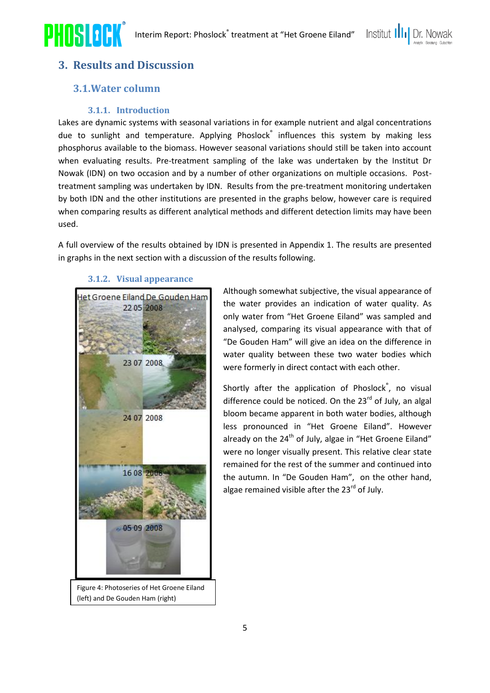

## <span id="page-4-1"></span><span id="page-4-0"></span>**3. Results and Discussion**

#### **3.1.Water column**

#### **3.1.1. Introduction**

<span id="page-4-2"></span>Lakes are dynamic systems with seasonal variations in for example nutrient and algal concentrations due to sunlight and temperature. Applying Phoslock<sup>®</sup> influences this system by making less phosphorus available to the biomass. However seasonal variations should still be taken into account when evaluating results. Pre-treatment sampling of the lake was undertaken by the Institut Dr Nowak (IDN) on two occasion and by a number of other organizations on multiple occasions. Posttreatment sampling was undertaken by IDN. Results from the pre-treatment monitoring undertaken by both IDN and the other institutions are presented in the graphs below, however care is required when comparing results as different analytical methods and different detection limits may have been used.

A full overview of the results obtained by IDN is presented in Appendix 1. The results are presented in graphs in the next section with a discussion of the results following.

#### **3.1.2. Visual appearance**

<span id="page-4-3"></span>

Figure 4: Photoseries of Het Groene Eiland (left) and De Gouden Ham (right)

Although somewhat subjective, the visual appearance of the water provides an indication of water quality. As only water from "Het Groene Eiland" was sampled and analysed, comparing its visual appearance with that of "De Gouden Ham" will give an idea on the difference in water quality between these two water bodies which were formerly in direct contact with each other.

Institut III<sub>I</sub>

Shortly after the application of Phoslock<sup>®</sup>, no visual difference could be noticed. On the  $23<sup>rd</sup>$  of July, an algal bloom became apparent in both water bodies, although less pronounced in "Het Groene Eiland". However already on the 24<sup>th</sup> of July, algae in "Het Groene Eiland" were no longer visually present. This relative clear state remained for the rest of the summer and continued into the autumn. In "De Gouden Ham", on the other hand, algae remained visible after the 23<sup>rd</sup> of July.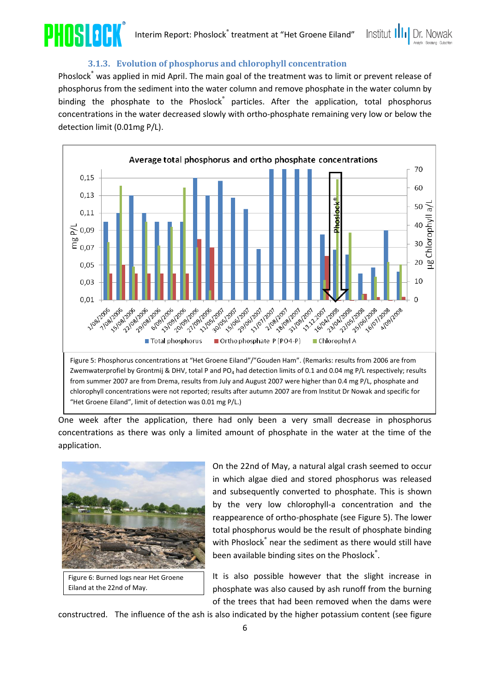



#### **3.1.3. Evolution of phosphorus and chlorophyll concentration**

<span id="page-5-0"></span>Phoslock® was applied in mid April. The main goal of the treatment was to limit or prevent release of phosphorus from the sediment into the water column and remove phosphate in the water column by binding the phosphate to the Phoslock<sup>®</sup> particles. After the application, total phosphorus concentrations in the water decreased slowly with ortho-phosphate remaining very low or below the detection limit (0.01mg P/L).



from summer 2007 are from Drema, results from July and August 2007 were higher than 0.4 mg P/L, phosphate and chlorophyll concentrations were not reported; results after autumn 2007 are from Institut Dr Nowak and specific for "Het Groene Eiland", limit of detection was 0.01 mg P/L.)

One week after the application, there had only been a very small decrease in phosphorus concentrations as there was only a limited amount of phosphate in the water at the time of the application.



Eiland at the 22nd of May.

On the 22nd of May, a natural algal crash seemed to occur in which algae died and stored phosphorus was released and subsequently converted to phosphate. This is shown by the very low chlorophyll-a concentration and the reappearence of ortho-phosphate (see Figure 5). The lower total phosphorus would be the result of phosphate binding with Phoslock® near the sediment as there would still have been available binding sites on the Phoslock<sup>®</sup>.

It is also possible however that the slight increase in phosphate was also caused by ash runoff from the burning of the trees that had been removed when the dams were

constructred. The influence of the ash is also indicated by the higher potassium content (see figure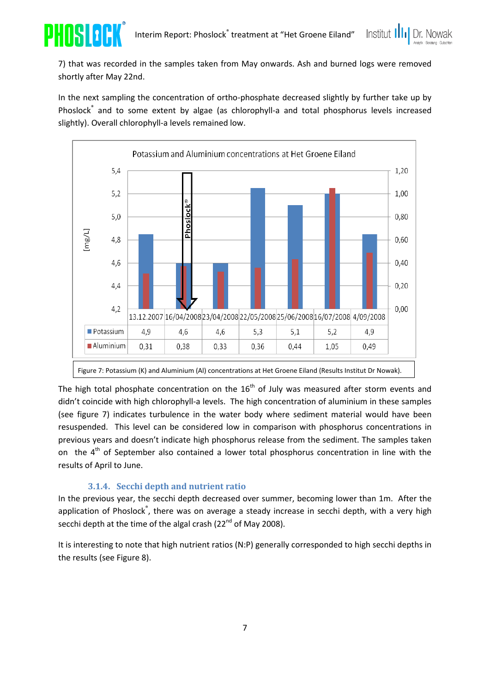



In the next sampling the concentration of ortho-phosphate decreased slightly by further take up by Phoslock<sup>®</sup> and to some extent by algae (as chlorophyll-a and total phosphorus levels increased slightly). Overall chlorophyll-a levels remained low.



The high total phosphate concentration on the  $16<sup>th</sup>$  of July was measured after storm events and didn't coincide with high chlorophyll-a levels. The high concentration of aluminium in these samples (see figure 7) indicates turbulence in the water body where sediment material would have been resuspended. This level can be considered low in comparison with phosphorus concentrations in previous years and doesn't indicate high phosphorus release from the sediment. The samples taken on the  $4<sup>th</sup>$  of September also contained a lower total phosphorus concentration in line with the results of April to June.

#### **3.1.4. Secchi depth and nutrient ratio**

<span id="page-6-0"></span>In the previous year, the secchi depth decreased over summer, becoming lower than 1m. After the application of Phoslock<sup>®</sup>, there was on average a steady increase in secchi depth, with a very high secchi depth at the time of the algal crash (22<sup>nd</sup> of May 2008).

It is interesting to note that high nutrient ratios (N:P) generally corresponded to high secchi depths in the results (see Figure 8).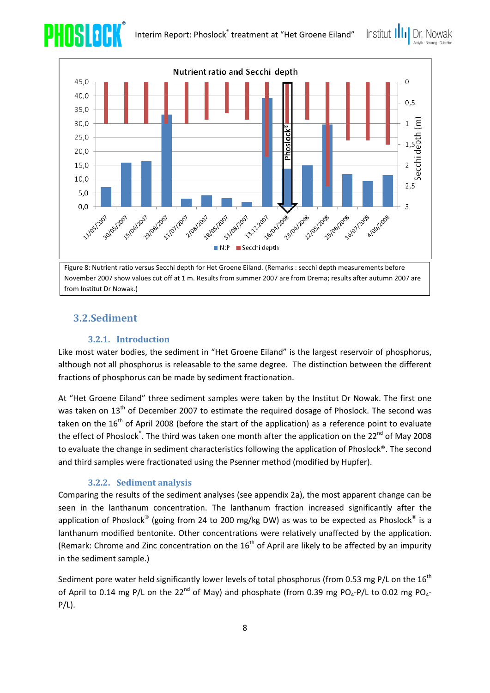Institut III



November 2007 show values cut off at 1 m. Results from summer 2007 are from Drema; results after autumn 2007 are from Institut Dr Nowak.)

#### <span id="page-7-1"></span><span id="page-7-0"></span>**3.2.Sediment**

PHISTOR

#### **3.2.1. Introduction**

Like most water bodies, the sediment in "Het Groene Eiland" is the largest reservoir of phosphorus, although not all phosphorus is releasable to the same degree. The distinction between the different fractions of phosphorus can be made by sediment fractionation.

At "Het Groene Eiland" three sediment samples were taken by the Institut Dr Nowak. The first one was taken on 13<sup>th</sup> of December 2007 to estimate the required dosage of Phoslock. The second was taken on the  $16<sup>th</sup>$  of April 2008 (before the start of the application) as a reference point to evaluate the effect of Phoslock<sup>®</sup>. The third was taken one month after the application on the 22<sup>nd</sup> of May 2008 to evaluate the change in sediment characteristics following the application of Phoslock®. The second and third samples were fractionated using the Psenner method (modified by Hupfer).

#### **3.2.2. Sediment analysis**

<span id="page-7-2"></span>Comparing the results of the sediment analyses (see appendix 2a), the most apparent change can be seen in the lanthanum concentration. The lanthanum fraction increased significantly after the application of Phoslock® (going from 24 to 200 mg/kg DW) as was to be expected as Phoslock® is a lanthanum modified bentonite. Other concentrations were relatively unaffected by the application. (Remark: Chrome and Zinc concentration on the  $16<sup>th</sup>$  of April are likely to be affected by an impurity in the sediment sample.)

Sediment pore water held significantly lower levels of total phosphorus (from 0.53 mg P/L on the  $16<sup>th</sup>$ of April to 0.14 mg P/L on the 22<sup>nd</sup> of May) and phosphate (from 0.39 mg PO<sub>4</sub>-P/L to 0.02 mg PO<sub>4</sub>- $P/L$ ).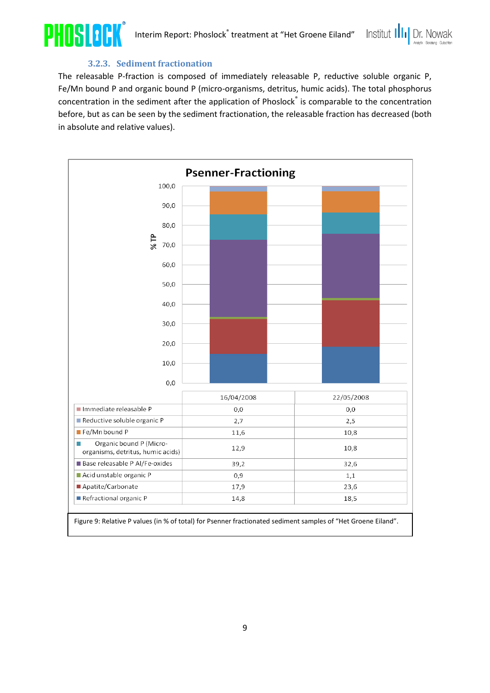



#### **3.2.3. Sediment fractionation**

<span id="page-8-0"></span>The releasable P-fraction is composed of immediately releasable P, reductive soluble organic P, Fe/Mn bound P and organic bound P (micro-organisms, detritus, humic acids). The total phosphorus concentration in the sediment after the application of Phoslock<sup>®</sup> is comparable to the concentration before, but as can be seen by the sediment fractionation, the releasable fraction has decreased (both in absolute and relative values).

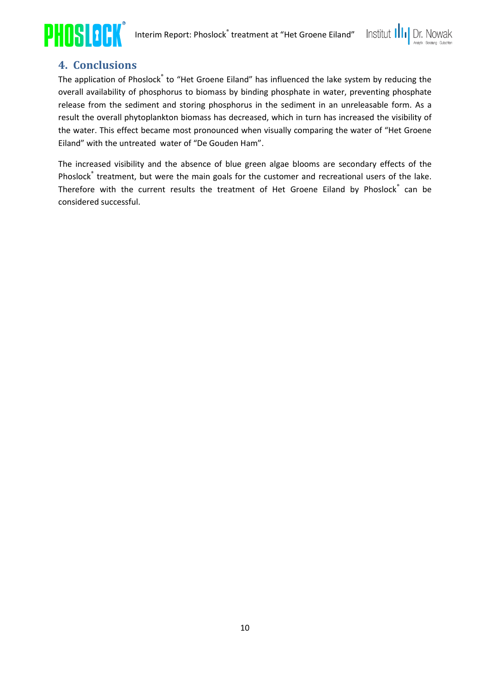



## **4. Conclusions**

<span id="page-9-0"></span>The application of Phoslock® to "Het Groene Eiland" has influenced the lake system by reducing the overall availability of phosphorus to biomass by binding phosphate in water, preventing phosphate release from the sediment and storing phosphorus in the sediment in an unreleasable form. As a result the overall phytoplankton biomass has decreased, which in turn has increased the visibility of the water. This effect became most pronounced when visually comparing the water of "Het Groene Eiland" with the untreated water of "De Gouden Ham".

The increased visibility and the absence of blue green algae blooms are secondary effects of the Phoslock<sup>®</sup> treatment, but were the main goals for the customer and recreational users of the lake. Therefore with the current results the treatment of Het Groene Eiland by Phoslock<sup>®</sup> can be considered successful.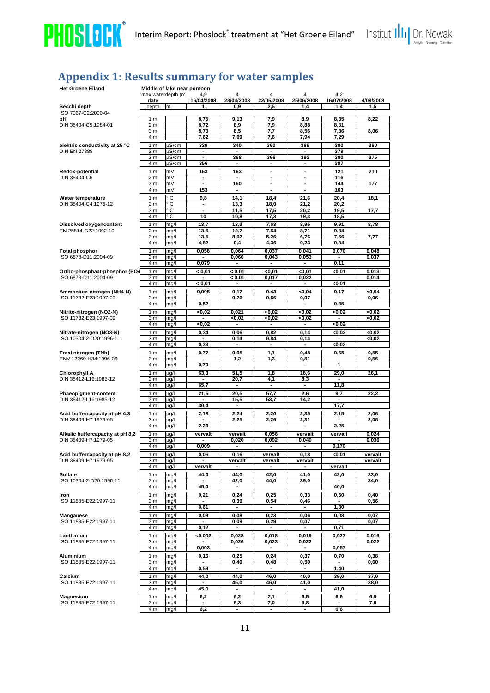



# <span id="page-10-0"></span>**Appendix 1: Results summary for water samples**

| <b>Het Groene Eiland</b>                      |                                    |              | Middle of lake near pontoon                |                                 |                          |                                  |                                  |              |
|-----------------------------------------------|------------------------------------|--------------|--------------------------------------------|---------------------------------|--------------------------|----------------------------------|----------------------------------|--------------|
|                                               | max waterdepth (m)                 |              | 4,9                                        | 4                               | $\overline{4}$           | 4                                | 4,2                              |              |
|                                               | date                               |              | 16/04/2008                                 | 23/04/2008                      | 22/05/2008               | 25/06/2008                       | 16/07/2008                       | 4/09/2008    |
| Secchi depth                                  | depth                              | m            | 1                                          | 0,9                             | 2,5                      | 1,4                              | 1,4                              | 1,5          |
| ISO 7027-C2:2000-04<br>рH                     | 1 <sub>m</sub>                     |              | 8,75                                       | 9,13                            | 7,9                      | 8,9                              | 8,35                             | 8,22         |
| DIN 38404-C5:1984-01                          | 2 <sub>m</sub>                     |              | 8,72                                       | 8,9                             | 7,9                      | 8,88                             | 8,31                             |              |
|                                               | 3 <sub>m</sub>                     |              | 8,73                                       | 8,5                             | 7,7                      | 8,56                             | 7,86                             | 8,06         |
|                                               | 4 m                                |              | 7,62                                       | 7,69                            | 7,6                      | 7,94                             | 7,29                             |              |
| elektric conductivity at 25 °C                | $\overline{1}$ m                   | µS/cm        | 339                                        | 340                             | 360                      | 389                              | 380                              | 380          |
| <b>DIN EN 27888</b>                           | 2 <sub>m</sub>                     | µS/cm        | $\blacksquare$                             | $\blacksquare$                  | $\blacksquare$           | $\blacksquare$                   | 378                              |              |
|                                               | 3 <sub>m</sub>                     | µS/cm        | ä,                                         | 368                             | 366                      | 392                              | 380                              | 375          |
|                                               | 4 m                                | µS/cm        | 356                                        | $\blacksquare$                  | $\blacksquare$           | $\blacksquare$                   | 387                              |              |
| Redox-potential<br>DIN 38404-C6               | 1 <sub>m</sub>                     | mV           | 163                                        | 163                             | ٠                        | $\blacksquare$                   | 121                              | 210          |
|                                               | 2 <sub>m</sub><br>3 <sub>m</sub>   | mV<br>mV     | $\blacksquare$<br>$\overline{\phantom{a}}$ | ٠<br>160                        | ٠<br>$\blacksquare$      | ٠<br>$\blacksquare$              | 116<br>144                       | 177          |
|                                               | 4 m                                | m٧           | 153                                        | $\overline{\phantom{a}}$        | $\overline{\phantom{a}}$ | $\overline{\phantom{a}}$         | 163                              |              |
| Water temperature                             | 1 <sub>m</sub>                     | ۰c           | 9,8                                        | 14,1                            | 18,4                     | 21,6                             | 20,4                             | 18,1         |
| DIN 38404-C4:1976-12                          | 2 <sub>m</sub>                     | ۰c           |                                            | 13,3                            | 18,0                     | 21,2                             | 20,2                             |              |
|                                               | 3 <sub>m</sub>                     | ۰c           | $\qquad \qquad \blacksquare$               | 11,5                            | 17,5                     | 20,2                             | 19,5                             | 17,7         |
|                                               | 4 m                                | ۰c           | 10                                         | 10,8                            | 17,3                     | 19,3                             | 18,5                             |              |
| <b>Dissolved oxygencontent</b>                | 1 <sub>m</sub>                     | mg/l         | 13,7                                       | 13,3                            | 7,63                     | 8,95                             | 9,91                             | 8,78         |
| EN 25814-G22:1992-10                          | 2 <sub>m</sub>                     | mg/l         | 13,5                                       | 12,7                            | 7,54                     | 8,71                             | 9,84                             |              |
|                                               | 3 <sub>m</sub>                     | mg/l         | 13,5                                       | 8,62                            | 5,26                     | 6,76                             | 7,56                             | 7,77         |
|                                               | 4 m                                | mg/l         | 4,82                                       | 0,4                             | 4,36                     | 0,23                             | 0,34                             |              |
| <b>Total phosphor</b>                         | 1 <sub>m</sub>                     | mg/l         | 0,056                                      | 0,064                           | 0,037                    | 0,041                            | 0.070                            | 0,048        |
| ISO 6878-D11:2004-09                          | 3 <sub>m</sub>                     | mg/l         |                                            | 0,060                           | 0,043                    | 0,053                            |                                  | 0,037        |
|                                               | 4 m                                | mg/l         | 0,079                                      |                                 |                          |                                  | 0,11                             |              |
| Ortho-phosphaat-phosphor (PO4                 | 1 <sub>m</sub>                     | mg/l         | < 0.01                                     | < 0.01                          | <0,01                    | 0,01                             | <0,01                            | 0.013        |
| ISO 6878-D11:2004-09                          | 3 <sub>m</sub>                     | mg/l         | $\blacksquare$                             | < 0.01                          | 0,017                    | 0,022                            | $\overline{\phantom{a}}$         | 0,014        |
|                                               | 4 m                                | mg/l         | < 0.01                                     |                                 |                          |                                  | <0,01                            |              |
| Ammonium-nitrogen (NH4-N)                     | 1 <sub>m</sub>                     | mg/l         | 0,095                                      | 0,17                            | 0,43                     | <0,04                            | 0,17                             | <0,04        |
| ISO 11732-E23:1997-09                         | 3 <sub>m</sub>                     | mg/l         |                                            | 0,26                            | 0,56                     | 0,07                             |                                  | 0,06         |
|                                               | 4 m                                | mg/l         | 0,52                                       |                                 |                          |                                  | 0,35                             |              |
| Nitrite-nitrogen (NO2-N)                      | 1 <sub>m</sub>                     | mg/l         | <0.02                                      | 0,021                           | <0.02                    | <0.02                            | <0.02                            | <0.02        |
| ISO 11732-E23:1997-09                         | 3 <sub>m</sub><br>4 m              | mg/l<br>mg/l | <0,02                                      | <0,02                           | <0.02<br>$\blacksquare$  | <0,02<br>$\blacksquare$          | <0,02                            | <0.02        |
|                                               |                                    |              |                                            |                                 |                          |                                  |                                  |              |
| Nitrate-nitrogen (NO3-N)                      | 1 <sub>m</sub>                     | mg/l         | 0,34                                       | 0,06                            | 0,82                     | 0,14                             | <0,02                            | <0,02        |
| ISO 10304-2-D20:1996-11                       | 3 <sub>m</sub><br>4 m              | mg/l<br>mg/l | ٠<br>0,33                                  | 0,14<br>٠                       | 0,84<br>$\blacksquare$   | 0,14<br>$\overline{\phantom{a}}$ | <0,02                            | <0,02        |
|                                               |                                    |              |                                            |                                 |                          |                                  |                                  |              |
| Total nitrogen (TNb)<br>ENV 12260-H34:1996-06 | 1 <sub>m</sub><br>3 m              | mg/l<br>mg/l | 0,77<br>$\overline{\phantom{a}}$           | 0,95<br>1,2                     | 1,1<br>1,3               | 0,48<br>0,51                     | 0,65<br>$\overline{\phantom{a}}$ | 0,55<br>0,56 |
|                                               | $\overline{4}$ m                   | mg/l         | 0,70                                       | $\blacksquare$                  | ٠                        | $\blacksquare$                   | 1                                |              |
| <b>Chlorophyll A</b>                          | 1 <sub>m</sub>                     | $\mu$ g/l    | 63,3                                       | 51,5                            | 1,8                      | 16,6                             | 29,0                             | 26,1         |
| DIN 38412-L16:1985-12                         | 3 <sub>m</sub>                     | $\mu$ g/l    | $\blacksquare$                             | 20,7                            | 4,1                      | 8,3                              | $\blacksquare$                   |              |
|                                               | 4 m                                | $\mu$ g/l    | 65,7                                       | $\centering \label{eq:reduced}$ | $\overline{\phantom{a}}$ | ٠                                | 11,8                             |              |
| Phaeopigment-content                          | 1 <sub>m</sub>                     | $\mu$ g/l    | 21,5                                       | 20,5                            | 57,7                     | 2,6                              | 9,7                              | 22,2         |
| DIN 38412-L16:1985-12                         | 3 <sub>m</sub>                     | $\mu$ g/l    | $\blacksquare$                             | 15,5                            | 53,7                     | 14,2                             | $\overline{\phantom{a}}$         |              |
|                                               | 4 m                                | $\mu$ g/l    | 30,4                                       | ٠                               |                          |                                  | 17,7                             |              |
| Acid buffercapacity at pH 4,3                 | 1 <sub>m</sub>                     | µg/l         | 2,18                                       | 2,24                            | 2,20                     | 2,35                             | 2,15                             | 2,06         |
| DIN 38409-H7:1979-05                          | 3 <sub>m</sub>                     | $\mu$ g/l    | $\overline{\phantom{a}}$                   | 2,25                            | 2,26                     | 2,31                             | $\overline{\phantom{a}}$         | 2,06         |
|                                               | 4 m                                | µg/l         | 2,23                                       | ٠                               |                          | $\blacksquare$                   | 2,25                             |              |
| Alkalic buffercapacity at pH 8,2              | 1 <sub>m</sub>                     | µg/l         | vervalt                                    | vervalt                         | 0,056                    | vervalt                          | vervalt                          | 0,024        |
| DIN 38409-H7:1979-05                          | 3 <sub>m</sub>                     | µg/l         | $\blacksquare$                             | 0,020                           | 0,092                    | 0,040                            | $\blacksquare$                   | 0,036        |
|                                               | 4 m                                | $\mu$ g/l    | 0,009                                      |                                 |                          |                                  | 0,170                            |              |
| Acid buffercapacity at pH 8,2                 | 1 <sub>m</sub>                     | µg/l         | 0,06                                       | 0,16                            | vervalt                  | 0,18                             | <0,01                            | vervalt      |
| DIN 38409-H7:1979-05                          | 3 <sub>m</sub>                     | µg/l         | $\blacksquare$                             | vervalt                         | vervalt                  | vervalt                          |                                  | vervalt      |
|                                               | 4 m                                | µg/l         | vervalt                                    |                                 |                          |                                  | vervalt                          |              |
| Sulfate                                       | 1 <sub>m</sub>                     | mg/l         | 44,0                                       | 44,0                            | 42,0                     | 41,0                             | 42,0                             | 33,0         |
| ISO 10304-2-D20:1996-11                       | 3 <sub>m</sub>                     | mg/l         |                                            | 42,0                            | 44,0                     | 39,0                             |                                  | 34,0         |
|                                               | 4 m                                | mg/l         | 45,0                                       | ٠                               |                          |                                  | 40,0                             |              |
| Iron                                          | 1 <sub>m</sub>                     | mg/l         | 0,21                                       | 0,24                            | 0,25                     | 0,33                             | 0,60                             | 0,40         |
| ISO 11885-E22:1997-11                         | 3 <sub>m</sub><br>4 m              | mg/l<br>mg/l | 0,61                                       | 0,39<br>$\blacksquare$          | 0,54<br>$\sim$           | 0,46<br>$\overline{a}$           | 1,30                             | 0,56         |
|                                               |                                    |              |                                            |                                 |                          |                                  |                                  |              |
| Manganese<br>ISO 11885-E22:1997-11            | $\overline{1}$ m<br>3 <sub>m</sub> | mg/l<br>mg/l | 0,08<br>$\overline{\phantom{a}}$           | 0,08<br>0,09                    | 0,23<br>0,29             | 0,06<br>0,07                     | 0,08                             | 0,07<br>0,07 |
|                                               | 4 m                                | mg/l         | 0,12                                       | $\overline{a}$                  | $\overline{a}$           | $\blacksquare$                   | 0,71                             |              |
| Lanthanum                                     |                                    |              |                                            | 0.028                           | 0,018                    | 0,019                            | 0,027                            | 0.016        |
| ISO 11885-E22:1997-11                         | 1 <sub>m</sub><br>3 <sub>m</sub>   | mg/l<br>mg/l | <0,002<br>$\blacksquare$                   | 0,026                           | 0,023                    | 0,022                            | $\overline{\phantom{a}}$         | 0,022        |
|                                               | 4 m                                | mg/l         | 0,003                                      |                                 |                          |                                  | 0,057                            |              |
| <b>Aluminium</b>                              | 1 <sub>m</sub>                     | mg/l         | 0,16                                       | 0,25                            | 0,24                     | 0,37                             | 0,70                             | 0,38         |
| ISO 11885-E22:1997-11                         | 3 <sub>m</sub>                     | mg/l         | ٠                                          | 0,40                            | 0,48                     | 0,50                             | $\overline{\phantom{a}}$         | 0,60         |
|                                               | 4 m                                | mg/l         | 0,59                                       | $\overline{\phantom{a}}$        | $\blacksquare$           | $\blacksquare$                   | 1,40                             |              |
| Calcium                                       | 1 <sub>m</sub>                     | mg/l         | 44,0                                       | 44,0                            | 46,0                     | 40,0                             | 39,0                             | 37,0         |
| ISO 11885-E22:1997-11                         | 3 <sub>m</sub>                     | mg/l         | $\overline{\phantom{a}}$                   | 45,0                            | 46,0                     | 41,0                             | ٠                                | 38,0         |
|                                               | 4 m                                | mg/l         | 45,0                                       |                                 |                          |                                  | 41,0                             |              |
| Magnesium                                     | 1 <sub>m</sub>                     | mg/l         | 6,2                                        | 6,2                             | 7,1                      | 6,5                              | 6,6                              | 6,9          |
| ISO 11885-E22:1997-11                         | 3 <sub>m</sub>                     | mg/l         | $\sim$                                     | 6,3                             | 7,0                      | 6,8                              | $\blacksquare$                   | 7,0          |
|                                               | 4 m                                | mg/l         | 6,2                                        |                                 |                          |                                  | 6,6                              |              |